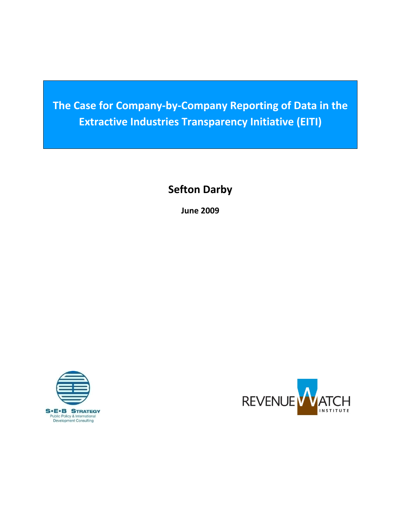**The Case for Company‐by‐Company Reporting of Data in the Extractive Industries Transparency Initiative (EITI)**

**Sefton Darby**

**June 2009**



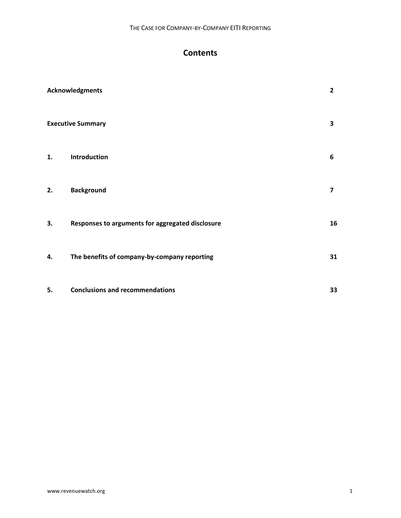# **Contents**

|    | Acknowledgments                                  | $\overline{2}$          |
|----|--------------------------------------------------|-------------------------|
|    | <b>Executive Summary</b>                         | $\overline{\mathbf{3}}$ |
| 1. | Introduction                                     | 6                       |
| 2. | <b>Background</b>                                | $\overline{\mathbf{z}}$ |
| 3. | Responses to arguments for aggregated disclosure | 16                      |
| 4. | The benefits of company-by-company reporting     | 31                      |
| 5. | <b>Conclusions and recommendations</b>           | 33                      |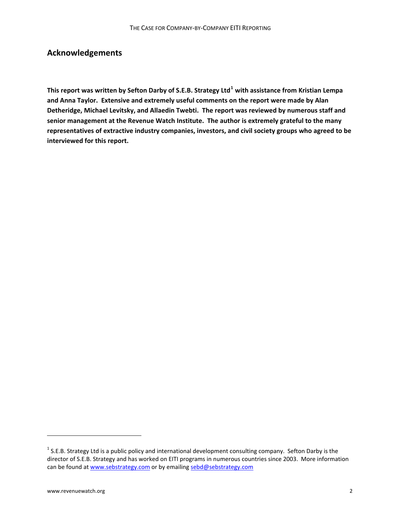# **Acknowledgements**

**This report was written by Sefton Darby of S.E.B. Strategy Ltd[1](#page-2-0) with assistance from Kristian Lempa and Anna Taylor. Extensive and extremely useful comments on the report were made by Alan Detheridge, Michael Levitsky, and Allaedin Twebti. The report was reviewed by numerous staff and senior management at the Revenue Watch Institute. The author is extremely grateful to the many representatives of extractive industry companies, investors, and civil society groups who agreed to be interviewed for this report.** 

<span id="page-2-0"></span> $1$  S.E.B. Strategy Ltd is a public policy and international development consulting company. Sefton Darby is the director of S.E.B. Strategy and has worked on EITI programs in numerous countries since 2003. More information can be found at [www.sebstrategy.com](http://www.sebstrategy.com/) or by emailing [sebd@sebstrategy.com](mailto:sebd@sebstrategy.com)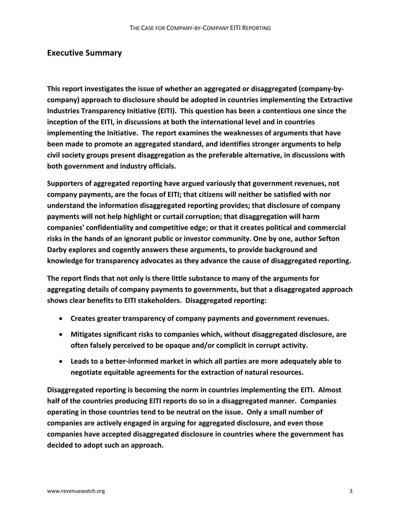## **Executive Summary**

**This report investigates the issue of whether an aggregated or disaggregated (company‐by‐ company) approach to disclosure should be adopted in countries implementing the Extractive Industries Transparency Initiative (EITI). This question has been a contentious one since the inception of the EITI, in discussions at both the international level and in countries implementing the Initiative. The report examines the weaknesses of arguments that have been made to promote an aggregated standard, and identifies stronger arguments to help civil society groups present disaggregation as the preferable alternative, in discussions with both government and industry officials.** 

**Supporters of aggregated reporting have argued variously that government revenues, not company payments, are the focus of EITI; that citizens will neither be satisfied with nor understand the information disaggregated reporting provides; that disclosure of company payments will not help highlight or curtail corruption; that disaggregation will harm companies' confidentiality and competitive edge; or that it creates political and commercial risks in the hands of an ignorant public or investor community. One by one, author Sefton Darby explores and cogently answers these arguments, to provide background and knowledge for transparency advocates as they advance the cause of disaggregated reporting.**

**The report finds that not only is there little substance to many of the arguments for aggregating details of company payments to governments, but that a disaggregated approach shows clear benefits to EITI stakeholders. Disaggregated reporting:**

- **Creates greater transparency of company payments and government revenues.**
- **Mitigates significant risks to companies which, without disaggregated disclosure, are often falsely perceived to be opaque and/or complicit in corrupt activity.**
- **Leads to a better‐informed market in which all parties are more adequately able to negotiate equitable agreements for the extraction of natural resources.**

**Disaggregated reporting is becoming the norm in countries implementing the EITI. Almost half of the countries producing EITI reports do so in a disaggregated manner. Companies operating in those countries tend to be neutral on the issue. Only a small number of companies are actively engaged in arguing for aggregated disclosure, and even those companies have accepted disaggregated disclosure in countries where the government has decided to adopt such an approach.**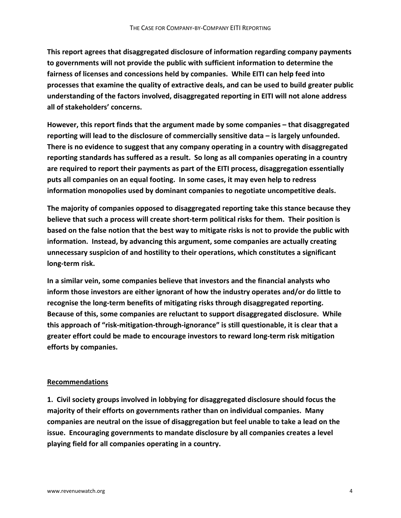**This report agrees that disaggregated disclosure of information regarding company payments to governments will not provide the public with sufficient information to determine the fairness of licenses and concessions held by companies. While EITI can help feed into processes that examine the quality of extractive deals, and can be used to build greater public understanding of the factors involved, disaggregated reporting in EITI will not alone address all of stakeholders' concerns.** 

**However, this report finds that the argument made by some companies – that disaggregated reporting will lead to the disclosure of commercially sensitive data – is largely unfounded. There is no evidence to suggest that any company operating in a country with disaggregated reporting standards has suffered as a result. So long as all companies operating in a country are required to report their payments as part of the EITI process, disaggregation essentially puts all companies on an equal footing. In some cases, it may even help to redress information monopolies used by dominant companies to negotiate uncompetitive deals.**

**The majority of companies opposed to disaggregated reporting take this stance because they believe that such a process will create short‐term political risks for them. Their position is** based on the false notion that the best way to mitigate risks is not to provide the public with **information. Instead, by advancing this argument, some companies are actually creating unnecessary suspicion of and hostility to their operations, which constitutes a significant long‐term risk.** 

**In a similar vein, some companies believe that investors and the financial analysts who inform those investors are either ignorant of how the industry operates and/or do little to recognise the long‐term benefits of mitigating risks through disaggregated reporting. Because of this, some companies are reluctant to support disaggregated disclosure. While this approach of "risk‐mitigation‐through‐ignorance" is still questionable, it is clear that a greater effort could be made to encourage investors to reward long‐term risk mitigation efforts by companies.**

### **Recommendations**

**1. Civil society groups involved in lobbying for disaggregated disclosure should focus the majority of their efforts on governments rather than on individual companies. Many companies are neutral on the issue of disaggregation but feel unable to take a lead on the issue. Encouraging governments to mandate disclosure by all companies creates a level playing field for all companies operating in a country.**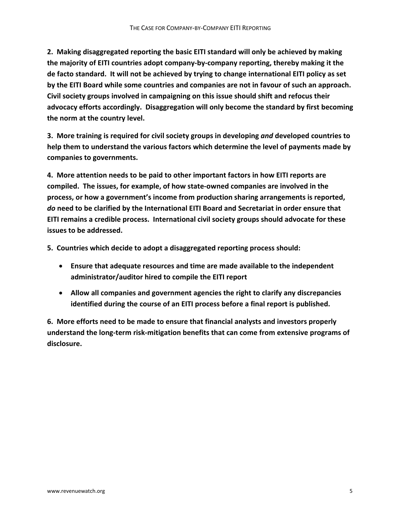**2. Making disaggregated reporting the basic EITI standard will only be achieved by making the majority of EITI countries adopt company‐by‐company reporting, thereby making it the de facto standard. It will not be achieved by trying to change international EITI policy as set by the EITI Board while some countries and companies are not in favour of such an approach. Civil society groups involved in campaigning on this issue should shift and refocus their advocacy efforts accordingly. Disaggregation will only become the standard by first becoming the norm at the country level.**

**3. More training is required for civil society groups in developing** *and* **developed countries to help them to understand the various factors which determine the level of payments made by companies to governments.**

**4. More attention needs to be paid to other important factors in how EITI reports are compiled. The issues, for example, of how state‐owned companies are involved in the process, or how a government's income from production sharing arrangements is reported,** *do* **need to be clarified by the International EITI Board and Secretariat in order ensure that EITI remains a credible process. International civil society groups should advocate for these issues to be addressed.**

**5. Countries which decide to adopt a disaggregated reporting process should:**

- **Ensure that adequate resources and time are made available to the independent administrator/auditor hired to compile the EITI report**
- **Allow all companies and government agencies the right to clarify any discrepancies identified during the course of an EITI process before a final report is published.**

**6. More efforts need to be made to ensure that financial analysts and investors properly understand the long‐term risk‐mitigation benefits that can come from extensive programs of disclosure.**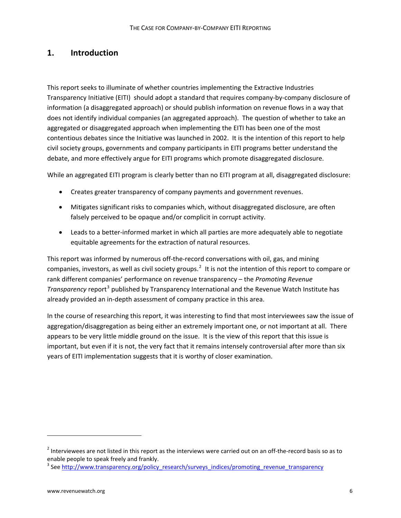# **1. Introduction**

This report seeks to illuminate of whether countries implementing the Extractive Industries Transparency Initiative (EITI) should adopt a standard that requires company‐by‐company disclosure of information (a disaggregated approach) or should publish information on revenue flows in a way that does not identify individual companies (an aggregated approach). The question of whether to take an aggregated or disaggregated approach when implementing the EITI has been one of the most contentious debates since the Initiative was launched in 2002. It is the intention of this report to help civil society groups, governments and company participants in EITI programs better understand the debate, and more effectively argue for EITI programs which promote disaggregated disclosure.

While an aggregated EITI program is clearly better than no EITI program at all, disaggregated disclosure:

- Creates greater transparency of company payments and government revenues.
- Mitigates significant risks to companies which, without disaggregated disclosure, are often falsely perceived to be opaque and/or complicit in corrupt activity.
- Leads to a better-informed market in which all parties are more adequately able to negotiate equitable agreements for the extraction of natural resources.

This report was informed by numerous off-the-record conversations with oil, gas, and mining companies, investors, as well as civil society groups.<sup>[2](#page-6-0)</sup> It is not the intention of this report to compare or rank different companies' performance on revenue transparency – the *Promoting Revenue Transparency* report<sup>[3](#page-6-1)</sup> published by Transparency International and the Revenue Watch Institute has already provided an in‐depth assessment of company practice in this area.

In the course of researching this report, it was interesting to find that most interviewees saw the issue of aggregation/disaggregation as being either an extremely important one, or not important at all. There appears to be very little middle ground on the issue. It is the view of this report that this issue is important, but even if it is not, the very fact that it remains intensely controversial after more than six years of EITI implementation suggests that it is worthy of closer examination.

<span id="page-6-0"></span> $2$  Interviewees are not listed in this report as the interviews were carried out on an off-the-record basis so as to enable people to speak freely and frankly.<br><sup>3</sup> See [http://www.transparency.org/policy\\_research/surveys\\_indices/promoting\\_revenue\\_transparency](http://www.transparency.org/policy_research/surveys_indices/promoting_revenue_transparency)

<span id="page-6-1"></span>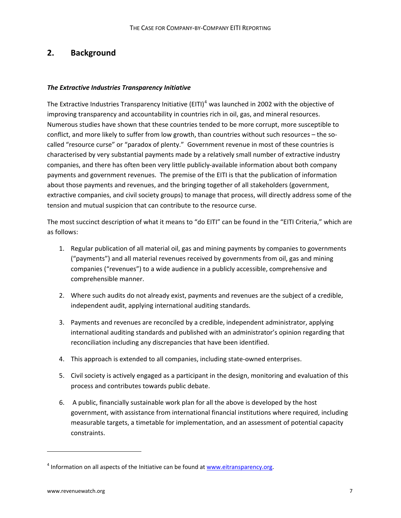# **2. Background**

### *The Extractive Industries Transparency Initiative*

The Extractive Industries Transparency Initiative (EITI)<sup>[4](#page-7-0)</sup> was launched in 2002 with the objective of improving transparency and accountability in countries rich in oil, gas, and mineral resources. Numerous studies have shown that these countries tended to be more corrupt, more susceptible to conflict, and more likely to suffer from low growth, than countries without such resources – the socalled "resource curse" or "paradox of plenty." Government revenue in most of these countries is characterised by very substantial payments made by a relatively small number of extractive industry companies, and there has often been very little publicly‐available information about both company payments and government revenues. The premise of the EITI is that the publication of information about those payments and revenues, and the bringing together of all stakeholders (government, extractive companies, and civil society groups) to manage that process, will directly address some of the tension and mutual suspicion that can contribute to the resource curse.

The most succinct description of what it means to "do EITI" can be found in the "EITI Criteria," which are as follows:

- 1. Regular publication of all material oil, gas and mining payments by companies to governments ("payments") and all material revenues received by governments from oil, gas and mining companies ("revenues") to a wide audience in a publicly accessible, comprehensive and comprehensible manner.
- 2. Where such audits do not already exist, payments and revenues are the subject of a credible, independent audit, applying international auditing standards.
- 3. Payments and revenues are reconciled by a credible, independent administrator, applying international auditing standards and published with an administrator's opinion regarding that reconciliation including any discrepancies that have been identified.
- 4. This approach is extended to all companies, including state-owned enterprises.
- 5. Civil society is actively engaged as a participant in the design, monitoring and evaluation of this process and contributes towards public debate.
- 6. A public, financially sustainable work plan for all the above is developed by the host government, with assistance from international financial institutions where required, including measurable targets, a timetable for implementation, and an assessment of potential capacity constraints.

<span id="page-7-0"></span> $4$  Information on all aspects of the Initiative can be found at [www.eitransparency.org](http://www.eitransparency.org/).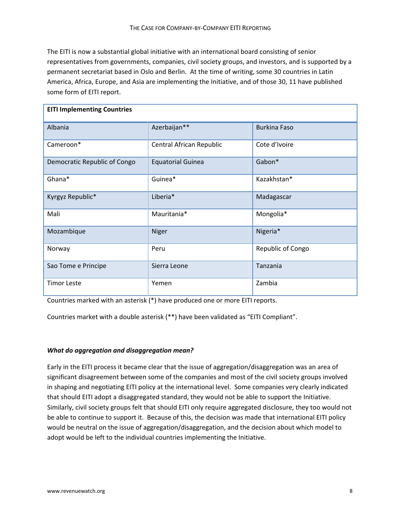The EITI is now a substantial global initiative with an international board consisting of senior representatives from governments, companies, civil society groups, and investors, and is supported by a permanent secretariat based in Oslo and Berlin. At the time of writing, some 30 countries in Latin America, Africa, Europe, and Asia are implementing the Initiative, and of those 30, 11 have published some form of EITI report.

| <b>EITI Implementing Countries</b> |                          |                     |  |  |  |
|------------------------------------|--------------------------|---------------------|--|--|--|
| Albania                            | Azerbaijan**             | <b>Burkina Faso</b> |  |  |  |
| Cameroon*                          | Central African Republic | Cote d'Ivoire       |  |  |  |
| Democratic Republic of Congo       | <b>Equatorial Guinea</b> | Gabon*              |  |  |  |
| Ghana*                             | Guinea*                  | Kazakhstan*         |  |  |  |
| Kyrgyz Republic*                   | Liberia*                 | Madagascar          |  |  |  |
| Mali                               | Mauritania*              | Mongolia*           |  |  |  |
| Mozambique                         | Niger                    | Nigeria*            |  |  |  |
| Norway                             | Peru                     | Republic of Congo   |  |  |  |
| Sao Tome e Principe                | Sierra Leone             | Tanzania            |  |  |  |
| <b>Timor Leste</b>                 | Yemen                    | Zambia              |  |  |  |

Countries marked with an asterisk (\*) have produced one or more EITI reports.

Countries market with a double asterisk (\*\*) have been validated as "EITI Compliant".

#### *What do aggregation and disaggregation mean?*

Early in the EITI process it became clear that the issue of aggregation/disaggregation was an area of significant disagreement between some of the companies and most of the civil society groups involved in shaping and negotiating EITI policy at the international level. Some companies very clearly indicated that should EITI adopt a disaggregated standard, they would not be able to support the Initiative. Similarly, civil society groups felt that should EITI only require aggregated disclosure, they too would not be able to continue to support it. Because of this, the decision was made that international EITI policy would be neutral on the issue of aggregation/disaggregation, and the decision about which model to adopt would be left to the individual countries implementing the Initiative.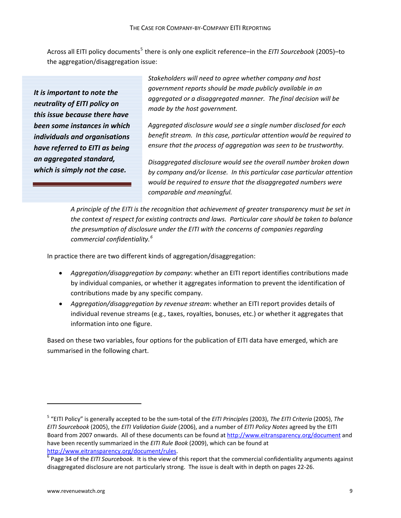Across all EITI policy documents<sup>[5](#page-9-0)</sup> there is only one explicit reference–in the *EITI Sourcebook* (2005)–to the aggregation/disaggregation issue:

*It is important to note the neutrality of EITI policy on this issue because there have been some instances in which individuals and organisations have referred to EITI as being an aggregated standard, which is simply not the case.*

*Stakeholders will need to agree whether company and host government reports should be made publicly available in an aggregated or a disaggregated manner. The final decision will be made by the host government.*

*Aggregated disclosure would see a single number disclosed for each benefit stream. In this case, particular attention would be required to ensure that the process of aggregation was seen to be trustworthy.*

*Disaggregated disclosure would see the overall number broken down by company and/or license. In this particular case particular attention would be required to ensure that the disaggregated numbers were comparable and meaningful.*

*A principle of the EITI is the recognition that achievement of greater transparency must be set in the context of respect for existing contracts and laws. Particular care should be taken to balance the presumption of disclosure under the EITI with the concerns of companies regarding commercial confidentiality.[6](#page-9-1)*

In practice there are two different kinds of aggregation/disaggregation:

- *Aggregation/disaggregation by company*: whether an EITI report identifies contributions made by individual companies, or whether it aggregates information to prevent the identification of contributions made by any specific company.
- *Aggregation/disaggregation by revenue stream*: whether an EITI report provides details of individual revenue streams (e.g., taxes, royalties, bonuses, etc.) or whether it aggregates that information into one figure.

Based on these two variables, four options for the publication of EITI data have emerged, which are summarised in the following chart.

<span id="page-9-0"></span><sup>5</sup> "EITI Policy" is generally accepted to be the sum‐total of the *EITI Principles* (2003), *The EITI Criteria* (2005), *The EITI Sourcebook* (2005), the *EITI Validation Guide* (2006), and a number of *EITI Policy Notes* agreed by the EITI Board from 2007 onwards. All of these documents can be found at <http://www.eitransparency.org/document> and have been recently summarized in the *EITI Rule Book* (2009), which can be found at <http://www.eitransparency.org/document/rules>.<br><sup>6</sup> Page 34 of the *EITI Sourcebook.* It is the view of this report that the commercial confidentiality arguments against

<span id="page-9-1"></span>disaggregated disclosure are not particularly strong. The issue is dealt with in depth on pages 22‐26.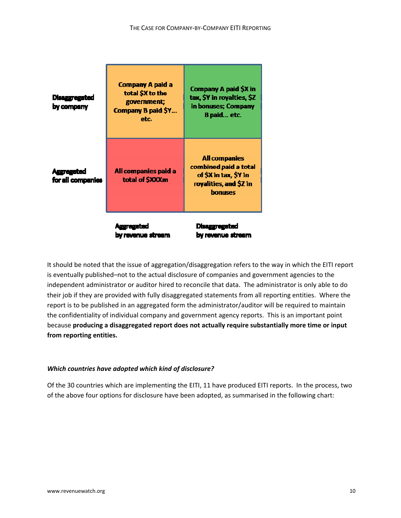| <b>Disaggregated</b><br>by company     | <b>Company A paid a</b><br>total \$X to the<br>government;<br>Company B paid \$Y<br>etc. | Company A paid \$X in<br>tax, \$Y in royalties, \$Z<br>in bonuses; Company<br>B paid etc.                          |
|----------------------------------------|------------------------------------------------------------------------------------------|--------------------------------------------------------------------------------------------------------------------|
| <b>Aggregated</b><br>for all companies | All companies paid a<br>total of \$XXXm                                                  | <b>All companies</b><br>combined paid a total<br>of \$X in tax, \$Y in<br>royalities, and \$Z in<br><b>bonuses</b> |
|                                        | Ausrega<br>by revenue stream                                                             | <b>Disaggregated</b><br>by revenue stream                                                                          |

It should be noted that the issue of aggregation/disaggregation refers to the way in which the EITI report is eventually published–not to the actual disclosure of companies and government agencies to the independent administrator or auditor hired to reconcile that data. The administrator is only able to do their job if they are provided with fully disaggregated statements from all reporting entities. Where the report is to be published in an aggregated form the administrator/auditor will be required to maintain the confidentiality of individual company and government agency reports. This is an important point because **producing a disaggregated report does not actually require substantially more time or input from reporting entities.**

### *Which countries have adopted which kind of disclosure?*

Of the 30 countries which are implementing the EITI, 11 have produced EITI reports. In the process, two of the above four options for disclosure have been adopted, as summarised in the following chart: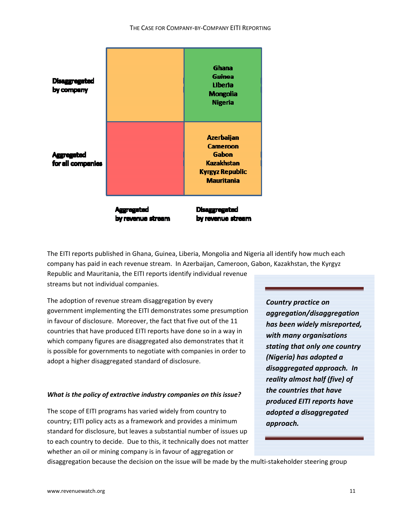#### THE CASE FOR COMPANY‐BY‐COMPANY EITI REPORTING



The EITI reports published in Ghana, Guinea, Liberia, Mongolia and Nigeria all identify how much each company has paid in each revenue stream. In Azerbaijan, Cameroon, Gabon, Kazakhstan, the Kyrgyz

Republic and Mauritania, the EITI reports identify individual revenue streams but not individual companies.

The adoption of revenue stream disaggregation by every government implementing the EITI demonstrates some presumption in favour of disclosure. Moreover, the fact that five out of the 11 countries that have produced EITI reports have done so in a way in which company figures are disaggregated also demonstrates that it is possible for governments to negotiate with companies in order to adopt a higher disaggregated standard of disclosure.

### *What is the policy of extractive industry companies on this issue?*

The scope of EITI programs has varied widely from country to country; EITI policy acts as a framework and provides a minimum standard for disclosure, but leaves a substantial number of issues up to each country to decide. Due to this, it technically does not matter whether an oil or mining company is in favour of aggregation or

*Country practice on aggregation/disaggregation has been widely misreported, with many organisations stating that only one country (Nigeria) has adopted a disaggregated approach. In reality almost half (five) of the countries that have produced EITI reports have adopted a disaggregated approach.*

disaggregation because the decision on the issue will be made by the multi‐stakeholder steering group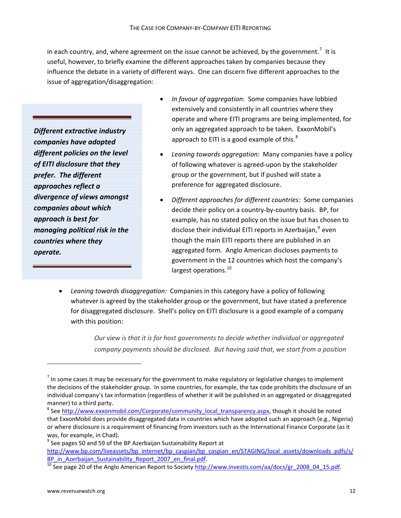in each country, and, where agreement on the issue cannot be achieved, by the government.<sup>[7](#page-12-0)</sup> It is useful, however, to briefly examine the different approaches taken by companies because they influence the debate in a variety of different ways. One can discern five different approaches to the issue of aggregation/disaggregation:

*Different extractive industry companies have adopted different policies on the level of EITI disclosure that they prefer. The different approaches reflect a divergence of views amongst companies about which approach is best for managing political risk in the countries where they operate.*

- *In favour of aggregation*: Some companies have lobbied extensively and consistently in all countries where they operate and where EITI programs are being implemented, for only an aggregated approach to be taken. ExxonMobil's approach to EITI is a good example of this. $8<sup>8</sup>$  $8<sup>8</sup>$
- *Leaning towards aggregation*: Many companies have a policy of following whatever is agreed‐upon by the stakeholder group or the government, but if pushed will state a preference for aggregated disclosure.
- *Different approaches for different countries:* Some companies decide their policy on a country‐by‐country basis. BP, for example, has no stated policy on the issue but has chosen to disclose their individual EITI reports in Azerbaijan, $9$  even though the main EITI reports there are published in an aggregated form. Anglo American discloses payments to government in the 12 countries which host the company's largest operations.<sup>[10](#page-12-3)</sup>
- *Leaning towards disaggregation:* Companies in this category have a policy of following whatever is agreed by the stakeholder group or the government, but have stated a preference for disaggregated disclosure. Shell's policy on EITI disclosure is a good example of a company with this position:

*Our view is that it is for host governments to decide whether individual or aggregated company payments should be disclosed. But having said that, we start from a position*

<span id="page-12-0"></span> $^7$  In some cases it may be necessary for the government to make regulatory or legislative changes to implement the decisions of the stakeholder group. In some countries, for example, the tax code prohibits the disclosure of an individual company's tax information (regardless of whether it will be published in an aggregated or disaggregated manner) to a third party.<br>
<sup>8</sup> See http://www.exxonmobil.com/Corporate/community local transparency.aspx, though it should be noted

<span id="page-12-1"></span>that ExxonMobil does provide disaggregated data in countries which have adopted such an approach (e.g., Nigeria) or where disclosure is a requirement of financing from investors such as the International Finance Corporate (as it was, for example, in Chad).<br><sup>9</sup> See pages 50 and 59 of the BP Azerbaijan Sustainability Report at

<span id="page-12-2"></span>[http://www.bp.com/liveassets/bp\\_internet/bp\\_caspian/bp\\_caspian\\_en/STAGING/local\\_assets/downloads\\_pdfs/s/](http://www.bp.com/liveassets/bp_internet/bp_caspian/bp_caspian_en/STAGING/local_assets/downloads_pdfs/s/BP_in_Azerbaijan_Sustainability_Report_2007_en_final.pdf)<br>BP\_in\_Azerbaijan\_Sustainability\_Report\_2007\_en\_final.pdf.

<span id="page-12-3"></span> $\frac{10}{10}$  See page 20 of the Anglo American Report to Society [http://www.investis.com/aa/docs/gr\\_2008\\_04\\_15.pdf](http://www.investis.com/aa/docs/gr_2008_04_15.pdf).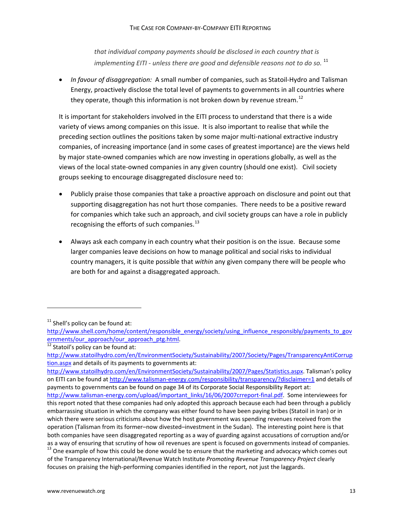*that individual company payments should be disclosed in each country that is implementing EITI ‐ unless there are good and defensible reasons not to do so.* [11](#page-13-0)

• *In favour of disaggregation:* A small number of companies, such as Statoil‐Hydro and Talisman Energy, proactively disclose the total level of payments to governments in all countries where they operate, though this information is not broken down by revenue stream.<sup>[12](#page-13-1)</sup>

It is important for stakeholders involved in the EITI process to understand that there is a wide variety of views among companies on this issue. It is also important to realise that while the preceding section outlines the positions taken by some major multi‐national extractive industry companies, of increasing importance (and in some cases of greatest importance) are the views held by major state‐owned companies which are now investing in operations globally, as well as the views of the local state‐owned companies in any given country (should one exist). Civil society groups seeking to encourage disaggregated disclosure need to:

- Publicly praise those companies that take a proactive approach on disclosure and point out that supporting disaggregation has not hurt those companies. There needs to be a positive reward for companies which take such an approach, and civil society groups can have a role in publicly recognising the efforts of such companies. $^{13}$  $^{13}$  $^{13}$
- Always ask each company in each country what their position is on the issue. Because some larger companies leave decisions on how to manage political and social risks to individual country managers, it is quite possible that *within* any given company there will be people who are both for and against a disaggregated approach.

<span id="page-13-0"></span> $11$  Shell's policy can be found at:

[http://www.shell.com/home/content/responsible\\_energy/society/using\\_influence\\_responsibly/payments\\_to\\_gov](http://www.shell.com/home/content/responsible_energy/society/using_influence_responsibly/payments_to_governments/our_approach/our_approach_ptg.html) [ernments/our\\_approach/our\\_approach\\_ptg.html](http://www.shell.com/home/content/responsible_energy/society/using_influence_responsibly/payments_to_governments/our_approach/our_approach_ptg.html).<br><sup>12</sup> Statoil's policy can be found at:

<span id="page-13-1"></span>[http://www.statoilhydro.com/en/EnvironmentSociety/Sustainability/2007/Society/Pages/TransparencyAntiCorrup](http://www.statoilhydro.com/en/EnvironmentSociety/Sustainability/2007/Society/Pages/TransparencyAntiCorruption.aspx) [tion.aspx](http://www.statoilhydro.com/en/EnvironmentSociety/Sustainability/2007/Society/Pages/TransparencyAntiCorruption.aspx) and details of its payments to governments at:

[http://www.statoilhydro.com/en/EnvironmentSociety/Sustainability/2007/Pages/Statistics.aspx.](http://www.statoilhydro.com/en/EnvironmentSociety/Sustainability/2007/Pages/Statistics.aspx) Talisman's policy on EITI can be found at http://www.talisman‐[energy.com/responsibility/transparency/?disclaimer=1](http://www.talisman-energy.com/responsibility/transparency/?disclaimer=1) and details of payments to governments can be found on page 34 of its Corporate Social Responsibility Report at:

http://www.talisman-[energy.com/upload/important\\_links/16/06/2007crreport](http://www.talisman-energy.com/upload/important_links/16/06/2007crreport-final.pdf)-final.pdf. Some interviewees for this report noted that these companies had only adopted this approach because each had been through a publicly embarrassing situation in which the company was either found to have been paying bribes (Statoil in Iran) or in which there were serious criticisms about how the host government was spending revenues received from the operation (Talisman from its former–now divested–investment in the Sudan). The interesting point here is that both companies have seen disaggregated reporting as a way of guarding against accusations of corruption and/or

<span id="page-13-2"></span>as a way of ensuring that scrutiny of how oil revenues are spent is focused on governments instead of companies.  $13$  One example of how this could be done would be to ensure that the marketing and advocacy which comes of the Transparency International/Revenue Watch Institute *Promoting Revenue Transparency Project* clearly focuses on praising the high‐performing companies identified in the report, not just the laggards.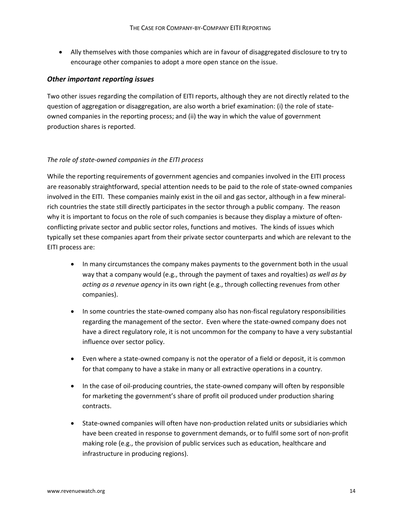• Ally themselves with those companies which are in favour of disaggregated disclosure to try to encourage other companies to adopt a more open stance on the issue.

### *Other important reporting issues*

Two other issues regarding the compilation of EITI reports, although they are not directly related to the question of aggregation or disaggregation, are also worth a brief examination: (i) the role of state‐ owned companies in the reporting process; and (ii) the way in which the value of government production shares is reported.

#### *The role of state‐owned companies in the EITI process*

While the reporting requirements of government agencies and companies involved in the EITI process are reasonably straightforward, special attention needs to be paid to the role of state‐owned companies involved in the EITI. These companies mainly exist in the oil and gas sector, although in a few mineralrich countries the state still directly participates in the sector through a public company. The reason why it is important to focus on the role of such companies is because they display a mixture of oftenconflicting private sector and public sector roles, functions and motives. The kinds of issues which typically set these companies apart from their private sector counterparts and which are relevant to the EITI process are:

- In many circumstances the company makes payments to the government both in the usual way that a company would (e.g., through the payment of taxes and royalties) *as well as by acting as a revenue agency* in its own right (e.g., through collecting revenues from other companies).
- In some countries the state‐owned company also has non‐fiscal regulatory responsibilities regarding the management of the sector. Even where the state-owned company does not have a direct regulatory role, it is not uncommon for the company to have a very substantial influence over sector policy.
- Even where a state-owned company is not the operator of a field or deposit, it is common for that company to have a stake in many or all extractive operations in a country.
- In the case of oil-producing countries, the state-owned company will often by responsible for marketing the government's share of profit oil produced under production sharing contracts.
- State-owned companies will often have non-production related units or subsidiaries which have been created in response to government demands, or to fulfil some sort of non-profit making role (e.g., the provision of public services such as education, healthcare and infrastructure in producing regions).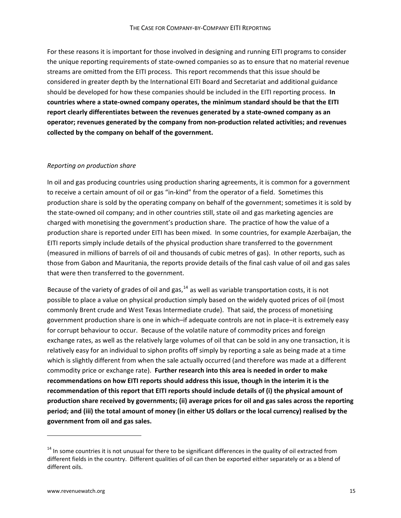For these reasons it is important for those involved in designing and running EITI programs to consider the unique reporting requirements of state‐owned companies so as to ensure that no material revenue streams are omitted from the EITI process. This report recommends that this issue should be considered in greater depth by the International EITI Board and Secretariat and additional guidance should be developed for how these companies should be included in the EITI reporting process. **In countries where a state‐owned company operates, the minimum standard should be that the EITI report clearly differentiates between the revenues generated by a state‐owned company as an operator; revenues generated by the company from non‐production related activities; and revenues collected by the company on behalf of the government.**

#### *Reporting on production share*

In oil and gas producing countries using production sharing agreements, it is common for a government to receive a certain amount of oil or gas "in‐kind" from the operator of a field. Sometimes this production share is sold by the operating company on behalf of the government; sometimes it is sold by the state-owned oil company; and in other countries still, state oil and gas marketing agencies are charged with monetising the government's production share. The practice of how the value of a production share is reported under EITI has been mixed. In some countries, for example Azerbaijan, the EITI reports simply include details of the physical production share transferred to the government (measured in millions of barrels of oil and thousands of cubic metres of gas). In other reports, such as those from Gabon and Mauritania, the reports provide details of the final cash value of oil and gas sales that were then transferred to the government.

Because of the variety of grades of oil and gas,  $14$  as well as variable transportation costs, it is not possible to place a value on physical production simply based on the widely quoted prices of oil (most commonly Brent crude and West Texas Intermediate crude). That said, the process of monetising government production share is one in which–if adequate controls are not in place–it is extremely easy for corrupt behaviour to occur. Because of the volatile nature of commodity prices and foreign exchange rates, as well as the relatively large volumes of oil that can be sold in any one transaction, it is relatively easy for an individual to siphon profits off simply by reporting a sale as being made at a tim e which is slightly different from when the sale actually occurred (and therefore was made at a different commodity price or exchange rate). **Further research into this area is needed in order to make recommendations on how EITI reports should address this issue, though in the interim it is the recommendation of this report that EITI reports should include details of (i) the physical amount of production share received by governments; (ii) average prices for oil and gas sales across the reporting** period; and (iii) the total amount of money (in either US dollars or the local currency) realised by the **governmen t from oil and gas sales.**

<span id="page-15-0"></span><sup>&</sup>lt;sup>14</sup> In some countries it is not unusual for there to be significant differences in the quality of oil extracted from different fields in the country. Different qualities of oil can then be exported either separately or as a blend of different oils.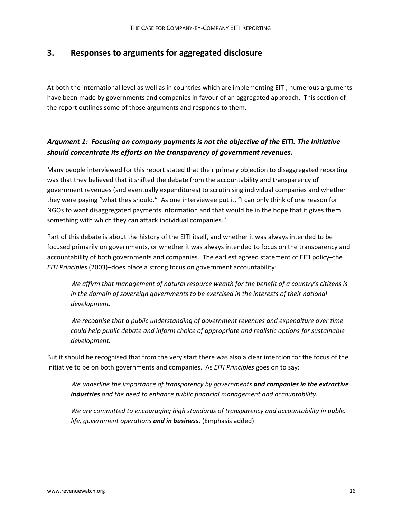## **3. Responses to arguments for aggregated disclosure**

At both the international level as well as in countries which are implementing EITI, numerous arguments have been made by governments and companies in favour of an aggregated approach. This section of the report outlines some of those arguments and responds to them.

## *Argument 1: Focusing on company payments is not the objective of the EITI. The Initiative should concentrate its efforts on the transparency of government revenues.*

Many people interviewed for this report stated that their primary objection to disaggregated reporting was that they believed that it shifted the debate from the accountability and transparency of government revenues (and eventually expenditures) to scrutinising individual companies and whether they were paying "what they should." As one interviewee put it, "I can only think of one reason for NGOs to want disaggregated payments information and that would be in the hope that it gives them something with which they can attack individual companies."

Part of this debate is about the history of the EITI itself, and whether it was always intended to be focused primarily on governments, or whether it was always intended to focus on the transparency and accountability of both governments and companies. The earliest agreed statement of EITI policy–the *EITI Principles* (2003)–does place a strong focus on government accountability:

*We affirm that management of natural resource wealth for the benefit of a country's citizens is in the domain of sovereign governments to be exercised in the interests of their national development.*

*We recognise that a public understanding of government revenues and expenditure over time could help public debate and inform choice of appropriate and realistic options for sustainable development.*

But it should be recognised that from the very start there was also a clear intention for the focus of the initiative to be on both governments and companies. As *EITI Principles* goes on to say:

*We underline the importance of transparency by governments and companies in the extractive industries and the need to enhance public financial management and accountability.*

*We are committed to encouraging high standards of transparency and accountability in public life, government operations and in business.* (Emphasis added)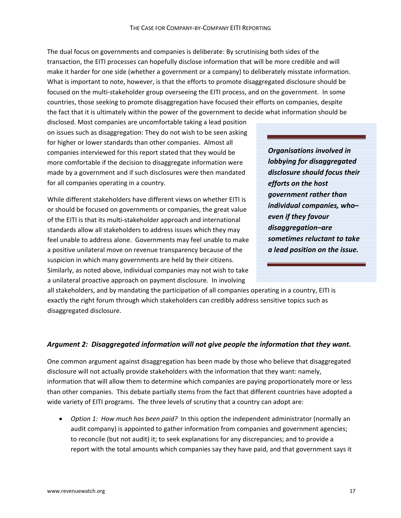The dual focus on governments and companies is deliberate: By scrutinising both sides of the transaction, the EITI processes can hopefully disclose information that will be more credible and will make it harder for one side (whether a government or a company) to deliberately misstate information. What is important to note, however, is that the efforts to promote disaggregated disclosure should be focused on the multi-stakeholder group overseeing the EITI process, and on the government. In some countries, those seeking to promote disaggregation have focused their efforts on companies, despite the fact that it is ultimately within the power of the government to decide what information should be

disclosed. Most companies are uncomfortable taking a lead position on issues such as disaggregation: They do not wish to be seen asking for higher or lower standards than other companies. Almost all companies interviewed for this report stated that they would be more comfortable if the decision to disaggregate information were made by a government and if such disclosures were then mandated for all companies operating in a country.

While different stakeholders have different views on whether EITI is or should be focused on governments or companies, the great value of the EITI is that its multi‐stakeholder approach and international standards allow all stakeholders to address issues which they may feel unable to address alone. Governments may feel unable to make a positive unilateral move on revenue transparency because of the suspicion in which many governments are held by their citizens. Similarly, as noted above, individual companies may not wish to take a unilateral proactive approach on payment disclosure. In involving

*Organisations involved in lobbying for disaggregated disclosure should focus their efforts on the host government rather than individual companies, who– even if they favour disaggregation–are sometimes reluctant to take a lead position on the issue.*

all stakeholders, and by mandating the participation of all companies operating in a country, EITI is exactly the right forum through which stakeholders can credibly address sensitive topics such as disaggregated disclosure.

### *Argument 2: Disaggregated information will not give people the information that they want.*

One common argument against disaggregation has been made by those who believe that disaggregated disclosure will not actually provide stakeholders with the information that they want: namely, information that will allow them to determine which companies are paying proportionately more or less than other companies. This debate partially stems from the fact that different countries have adopted a wide variety of EITI programs. The three levels of scrutiny that a country can adopt are:

• *Option 1: How much has been paid?* In this option the independent administrator (normally an audit company) is appointed to gather information from companies and government agencies; to reconcile (but not audit) it; to seek explanations for any discrepancies; and to provide a report with the total amounts which companies say they have paid, and that government says it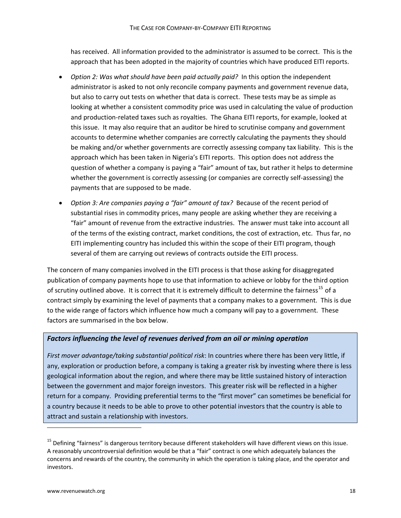has received. All information provided to the administrator is assumed to be correct. This is the approach that has been adopted in the majority of countries which have produced EITI reports.

- *Option 2: Was what should have been paid actually paid?* In this option the independent administrator is asked to not only reconcile company payments and government revenue data, but also to carry out tests on whether that data is correct. These tests may be as simple as looking at whether a consistent commodity price was used in calculating the value of production and production‐related taxes such as royalties. The Ghana EITI reports, for example, looked at this issue. It may also require that an auditor be hired to scrutinise company and government accounts to determine whether companies are correctly calculating the payments they should be making and/or whether governments are correctly assessing company tax liability. This is the approach which has been taken in Nigeria's EITI reports. This option does not address the question of whether a company is paying a "fair" amount of tax, but rather it helps to determine whether the government is correctly assessing (or companies are correctly self‐assessing) the payments that are supposed to be made.
- *Option 3: Are companies paying a "fair" amount of tax?* Because of the recent period of substantial rises in commodity prices, many people are asking whether they are receiving a "fair" amount of revenue from the extractive industries. The answer must take into account all of the terms of the existing contract, market conditions, the cost of extraction, etc. Thus far, no EITI implementing country has included this within the scope of their EITI program, though several of them are carrying out reviews of contracts outside the EITI process.

The concern of many companies involved in the EITI process is that those asking for disaggregated publication of company payments hope to use that information to achieve or lobby for the third option of scrutiny outlined above. It is correct that it is extremely difficult to determine the fairness<sup>[15](#page-18-0)</sup> of a contract simply by examining the level of payments that a company makes to a government. This is due to the wide range of factors which influence how much a company will pay to a government. These factors are summarised in the box below.

### *Factors influencing the level of revenues derived from an oil or mining operation*

*First mover advantage/taking substantial political risk*: In countries where there has been very little, if any, exploration or production before, a company is taking a greater risk by investing where there is less geological information about the region, and where there may be little sustained history of interaction between the government and major foreign investors. This greater risk will be reflected in a higher return for a company. Providing preferential terms to the "first mover" can sometimes be beneficial for a country because it needs to be able to prove to other potential investors that the country is able to attract and sustain a relationship with investors.

<span id="page-18-0"></span><sup>&</sup>lt;sup>15</sup> Defining "fairness" is dangerous territory because different stakeholders will have different views on this issue. A reasonably uncontroversial definition would be that a "fair" contract is one which adequately balances the concerns and rewards of the country, the community in which the operation is taking place, and the operator and investors.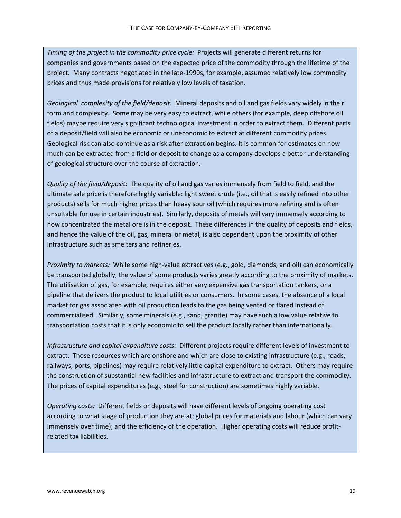*Timing of the project in the commodity price cycle:* Projects will generate different returns for companies and governments based on the expected price of the commodity through the lifetime of the project. Many contracts negotiated in the late-1990s, for example, assumed relatively low commodity prices and thus made provisions for relatively low levels of taxation.

*Geological complexity of the field/deposit:* Mineral deposits and oil and gas fields vary widely in their form and complexity. Some may be very easy to extract, while others (for example, deep offshore oil fields) maybe require very significant technological investment in order to extract them. Different parts of a deposit/field will also be economic or uneconomic to extract at different commodity prices. Geological risk can also continue as a risk after extraction begins. It is common for estimates on how much can be extracted from a field or deposit to change as a company develops a better understanding of geological structure over the course of extraction.

*Quality of the field/deposit:* The quality of oil and gas varies immensely from field to field, and the ultimate sale price is therefore highly variable: light sweet crude (i.e., oil that is easily refined into other products) sells for much higher prices than heavy sour oil (which requires more refining and is often unsuitable for use in certain industries). Similarly, deposits of metals will vary immensely according to how concentrated the metal ore is in the deposit. These differences in the quality of deposits and fields, and hence the value of the oil, gas, mineral or metal, is also dependent upon the proximity of other infrastructure such as smelters and refineries.

*Proximity to markets:* While some high‐value extractives (e.g., gold, diamonds, and oil) can economically be transported globally, the value of some products varies greatly according to the proximity of markets. The utilisation of gas, for example, requires either very expensive gas transportation tankers, or a pipeline that delivers the product to local utilities or consumers. In some cases, the absence of a local market for gas associated with oil production leads to the gas being vented or flared instead of commercialised. Similarly, some minerals (e.g., sand, granite) may have such a low value relative to transportation costs that it is only economic to sell the product locally rather than internationally.

*Infrastructure and capital expenditure costs:* Different projects require different levels of investment to extract. Those resources which are onshore and which are close to existing infrastructure (e.g., roads, railways, ports, pipelines) may require relatively little capital expenditure to extract. Others may require the construction of substantial new facilities and infrastructure to extract and transport the commodity. The prices of capital expenditures (e.g., steel for construction) are sometimes highly variable.

*Operating costs:* Different fields or deposits will have different levels of ongoing operating cost according to what stage of production they are at; global prices for materials and labour (which can vary immensely over time); and the efficiency of the operation. Higher operating costs will reduce profitrelated tax liabilities.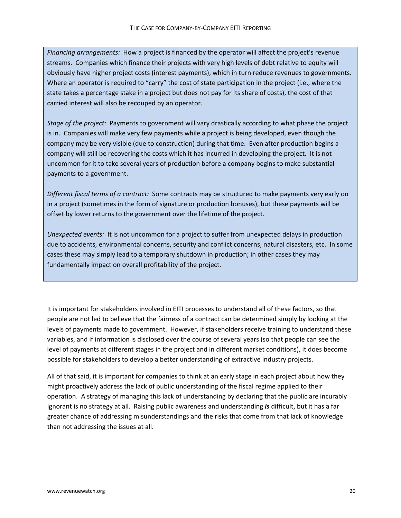*Financing arrangements:* How a project is financed by the operator will affect the project's revenue streams. Companies which finance their projects with very high levels of debt relative to equity will obviously have higher project costs (interest payments), which in turn reduce revenues to governments. Where an operator is required to "carry" the cost of state participation in the project (i.e., where the state takes a percentage stake in a project but does not pay for its share of costs), the cost of that carried interest will also be recouped by an operator.

*Stage of the project:* Payments to government will vary drastically according to what phase the project is in. Companies will make very few payments while a project is being developed, even though the company may be very visible (due to construction) during that time. Even after production begins a company will still be recovering the costs which it has incurred in developing the project. It is not uncommon for it to take several years of production before a company begins to make substantial payments to a government.

*Different fiscal terms of a contract:* Some contracts may be structured to make payments very early on in a project (sometimes in the form of signature or production bonuses), but these payments will be offset by lower returns to the government over the lifetime of the project.

*Unexpected events:* It is not uncommon for a project to suffer from unexpected delays in production due to accidents, environmental concerns, security and conflict concerns, natural disasters, etc. In some cases these may simply lead to a temporary shutdown in production; in other cases they may fundamentally impact on overall profitability of the project.

It is important for stakeholders involved in EITI processes to understand all of these factors, so that people are not led to believe that the fairness of a contract can be determined simply by looking at the levels of payments made to government. However, if stakeholders receive training to understand these variables, and if information is disclosed over the course of several years (so that people can see the level of payments at different stages in the project and in different market conditions), it does become possible for stakeholders to develop a better understanding of extractive industry projects.

All of that said, it is important for companies to think at an early stage in each project about how they might proactively address the lack of public understanding of the fiscal regime applied to their operation. A strategy of managing this lack of understanding by declaring that the public are incurably ignorant is no strategy at all. Raising public awareness and understanding *is* difficult, but it has a far greater chance of addressing misunderstandings and the risks that come from that lack of knowledge than not addressing the issues at all.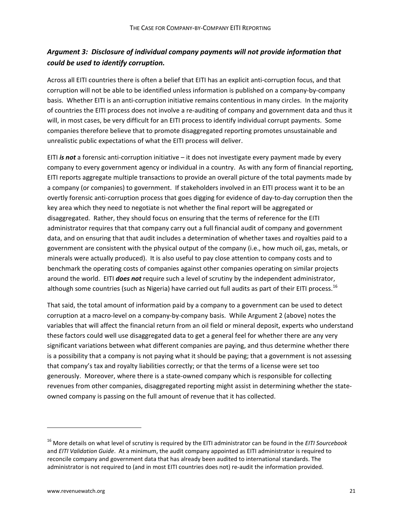# *Argument 3: Disclosure of individual company payments will not provide information that could be used to identify corruption.*

Across all EITI countries there is often a belief that EITI has an explicit anti‐corruption focus, and that corruption will not be able to be identified unless information is published on a company‐by‐company basis. Whether EITI is an anti-corruption initiative remains contentious in many circles. In the majority of countries the EITI process does not involve a re‐auditing of company and government data and thus it will, in most cases, be very difficult for an EITI process to identify individual corrupt payments. Some companies therefore believe that to promote disaggregated reporting promotes unsustainable and unrealistic public expectations of what the EITI process will deliver.

EITI *is not* a forensic anti‐corruption initiative – it does not investigate every payment made by every company to every government agency or individual in a country. As with any form of financial reporting, EITI reports aggregate multiple transactions to provide an overall picture of the total payments made by a company (or companies) to government. If stakeholders involved in an EITI process want it to be an overtly forensic anti‐corruption process that goes digging for evidence of day‐to‐day corruption then the key area which they need to negotiate is not whether the final report will be aggregated or disaggregated. Rather, they should focus on ensuring that the terms of reference for the EITI administrator requires that that company carry out a full financial audit of company and government data, and on ensuring that that audit includes a determination of whether taxes and royalties paid to a government are consistent with the physical output of the company (i.e., how much oil, gas, metals, or minerals were actually produced). It is also useful to pay close attention to company costs and to benchmark the operating costs of companies against other companies operating on similar projects around the world. EITI *does not* require such a level of scrutiny by the independent administrator, although some countries (such as Nigeria) have carried out full audits as part of their EITI process.<sup>[16](#page-21-0)</sup>

That said, the total amount of information paid by a company to a government can be used to detect corruption at a macro‐level on a company‐by‐company basis. While Argument 2 (above) notes the variables that will affect the financial return from an oil field or mineral deposit, experts who understand these factors could well use disaggregated data to get a general feel for whether there are any very significant variations between what different companies are paying, and thus determine whether there is a possibility that a company is not paying what it should be paying; that a government is not assessing that company's tax and royalty liabilities correctly; or that the terms of a license were set too generously. Moreover, where there is a state‐owned company which is responsible for collecting revenues from other companies, disaggregated reporting might assist in determining whether the state‐ owned company is passing on the full amount of revenue that it has collected.

<span id="page-21-0"></span><sup>16</sup> More details on what level of scrutiny is required by the EITI administrator can be found in the *EITI Sourcebook* and *EITI Validation Guide*. At a minimum, the audit company appointed as EITI administrator is required to reconcile company and government data that has already been audited to international standards. The administrator is not required to (and in most EITI countries does not) re‐audit the information provided.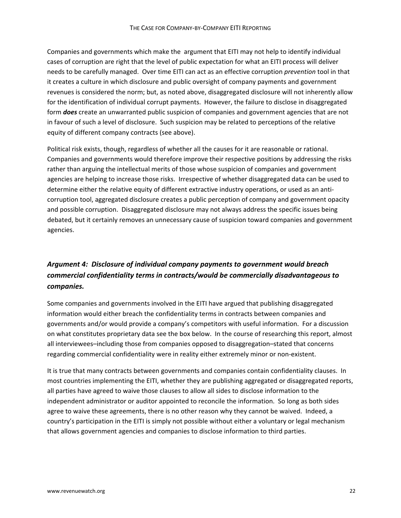Companies and governments which make the argument that EITI may not help to identify individual cases of corruption are right that the level of public expectation for what an EITI process will deliver needs to be carefully managed. Over time EITI can act as an effective corruption *prevention* tool in that it creates a culture in which disclosure and public oversight of company payments and government revenues is considered the norm; but, as noted above, disaggregated disclosure will not inherently allow for the identification of individual corrupt payments. However, the failure to disclose in disaggregated form *does* create an unwarranted public suspicion of companies and government agencies that are not in favour of such a level of disclosure. Such suspicion may be related to perceptions of the relative equity of different company contracts (see above).

Political risk exists, though, regardless of whether all the causes for it are reasonable or rational. Companies and governments would therefore improve their respective positions by addressing the risks rather than arguing the intellectual merits of those whose suspicion of companies and government agencies are helping to increase those risks. Irrespective of whether disaggregated data can be used to determine either the relative equity of different extractive industry operations, or used as an anticorruption tool, aggregated disclosure creates a public perception of company and government opacity and possible corruption. Disaggregated disclosure may not always address the specific issues being debated, but it certainly removes an unnecessary cause of suspicion toward companies and government agencies.

# *Argument 4: Disclosure of individual company payments to government would breach commercial confidentiality terms in contracts/would be commercially disadvantageous to companies.*

Some companies and governments involved in the EITI have argued that publishing disaggregated information would either breach the confidentiality terms in contracts between companies and governments and/or would provide a company's competitors with useful information. For a discussion on what constitutes proprietary data see the box below. In the course of researching this report, almost all interviewees–including those from companies opposed to disaggregation–stated that concerns regarding commercial confidentiality were in reality either extremely minor or non‐existent.

It is true that many contracts between governments and companies contain confidentiality clauses. In most countries implementing the EITI, whether they are publishing aggregated or disaggregated reports, all parties have agreed to waive those clauses to allow all sides to disclose information to the independent administrator or auditor appointed to reconcile the information. So long as both sides agree to waive these agreements, there is no other reason why they cannot be waived. Indeed, a country's participation in the EITI is simply not possible without either a voluntary or legal mechanism that allows government agencies and companies to disclose information to third parties.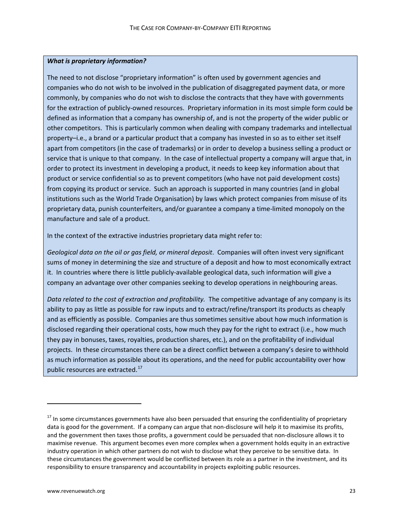### *What is proprietary information?*

The need to not disclose "proprietary information" is often used by government agencies and companies who do not wish to be involved in the publication of disaggregated payment data, or more commonly, by companies who do not wish to disclose the contracts that they have with governments for the extraction of publicly-owned resources. Proprietary information in its most simple form could be defined as information that a company has ownership of, and is not the property of the wider public or other competitors. This is particularly common when dealing with company trademarks and intellectual property–i.e., a brand or a particular product that a company has invested in so as to either set itself apart from competitors (in the case of trademarks) or in order to develop a business selling a product or service that is unique to that company. In the case of intellectual property a company will argue that, in order to protect its investment in developing a product, it needs to keep key information about that product or service confidential so as to prevent competitors (who have not paid development costs) from copying its product or service. Such an approach is supported in many countries (and in global institutions such as the World Trade Organisation) by laws which protect companies from misuse of its proprietary data, punish counterfeiters, and/or guarantee a company a time‐limited monopoly on the manufacture and sale of a product.

In the context of the extractive industries proprietary data might refer to:

*Geological data on the oil or gas field, or mineral deposit*. Companies will often invest very significant sums of money in determining the size and structure of a deposit and how to most economically extract it. In countries where there is little publicly‐available geological data, such information will give a company an advantage over other companies seeking to develop operations in neighbouring areas.

*Data related to the cost of extraction and profitability.* The competitive advantage of any company is its ability to pay as little as possible for raw inputs and to extract/refine/transport its products as cheaply and as efficiently as possible. Companies are thus sometimes sensitive about how much information is disclosed regarding their operational costs, how much they pay for the right to extract (i.e., how much they pay in bonuses, taxes, royalties, production shares, etc.), and on the profitability of individual projects. In these circumstances there can be a direct conflict between a company's desire to withhold as much information as possible about its operations, and the need for public accountability over how public resources are extracted.<sup>[17](#page-23-0)</sup>

<span id="page-23-0"></span><sup>&</sup>lt;sup>17</sup> In some circumstances governments have also been persuaded that ensuring the confidentiality of proprietary data is good for the government. If a company can argue that non-disclosure will help it to maximise its profits, and the government then taxes those profits, a government could be persuaded that non‐disclosure allows it to maximise revenue. This argument becomes even more complex when a government holds equity in an extractive industry operation in which other partners do not wish to disclose what they perceive to be sensitive data. In these circumstances the government would be conflicted between its role as a partner in the investment, and its responsibility to ensure transparency and accountability in projects exploiting public resources.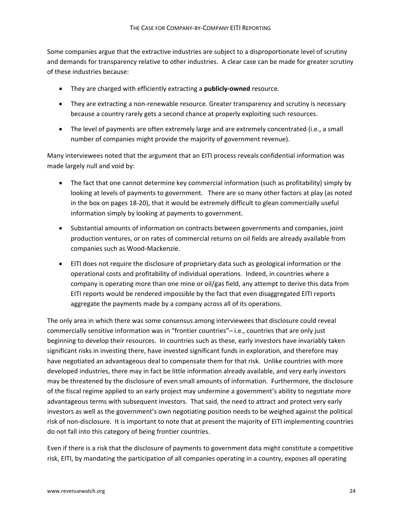Some companies argue that the extractive industries are subject to a disproportionate level of scrutiny and demands for transparency relative to other industries. A clear case can be made for greater scrutiny of these industries because:

- They are charged with efficiently extracting a **publicly‐owned** resource.
- They are extracting a non-renewable resource. Greater transparency and scrutiny is necessary because a country rarely gets a second chance at properly exploiting such resources.
- The level of payments are often extremely large and are extremely concentrated (i.e., a small number of companies might provide the majority of government revenue).

Many interviewees noted that the argument that an EITI process reveals confidential information was made largely null and void by:

- The fact that one cannot determine key commercial information (such as profitability) simply by looking at levels of payments to government. There are so many other factors at play (as noted in the box on pages 18‐20), that it would be extremely difficult to glean commercially useful information simply by looking at payments to government.
- Substantial amounts of information on contracts between governments and companies, joint production ventures, or on rates of commercial returns on oil fields are already available from companies such as Wood‐Mackenzie.
- EITI does not require the disclosure of proprietary data such as geological information or the operational costs and profitability of individual operations. Indeed, in countries where a company is operating more than one mine or oil/gas field, any attempt to derive this data from EITI reports would be rendered impossible by the fact that even disaggregated EITI reports aggregate the payments made by a company across all of its operations.

The only area in which there was some consensus among interviewees that disclosure could reveal commercially sensitive information was in "frontier countries"– i.e., countries that are only just beginning to develop their resources. In countries such as these, early investors have invariably taken significant risks in investing there, have invested significant funds in exploration, and therefore may have negotiated an advantageous deal to compensate them for that risk. Unlike countries with more developed industries, there may in fact be little information already available, and very early investors may be threatened by the disclosure of even small amounts of information. Furthermore, the disclosure of the fiscal regime applied to an early project may undermine a government's ability to negotiate more advantageous terms with subsequent investors. That said, the need to attract and protect very early investors as well as the government's own negotiating position needs to be weighed against the political risk of non‐disclosure. It is important to note that at present the majority of EITI implementing countries do not fall into this category of being frontier countries.

Even if there is a risk that the disclosure of payments to government data might constitute a competitive risk, EITI, by mandating the participation of all companies operating in a country, exposes all operating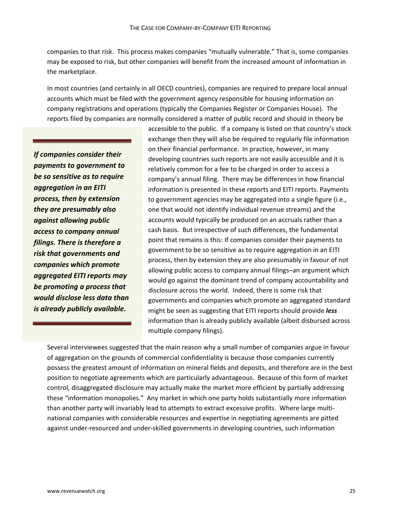companies to that risk. This process makes companies "mutually vulnerable." That is, some companies may be exposed to risk, but other companies will benefit from the increased amount of information in the marketplace.

In most countries (and certainly in all OECD countries), companies are required to prepare local annual accounts which must be filed with the government agency responsible for housing information on company registrations and operations (typically the Companies Register or Companies House). The reports filed by companies are normally considered a matter of public record and should in theory be

*If companies consider their payments to government to be so sensitive as to require aggregation in an EITI process, then by extension they are presumably also against allowing public access to company annual filings. There is therefore a risk that governments and companies which promote aggregated EITI reports may be promoting a process that would disclose less data than is already publicly available.*

accessible to the public. If a company is listed on that country's stock exchange then they will also be required to regularly file information on their financial performance. In practice, however, in many developing countries such reports are not easily accessible and it is relatively common for a fee to be charged in order to access a company's annual filing. There may be differences in how financial information is presented in these reports and EITI reports. Payments to government agencies may be aggregated into a single figure (i.e., one that would not identify individual revenue streams) and the accounts would typically be produced on an accruals rather than a cash basis. But irrespective of such differences, the fundamental point that remains is this: If companies consider their payments to government to be so sensitive as to require aggregation in an EITI process, then by extension they are also presumably in favour of not allowing public access to company annual filings–an argument which would go against the dominant trend of company accountability and disclosure across the world. Indeed, there is some risk that governments and companies which promote an aggregated standard might be seen as suggesting that EITI reports should provide *less* information than is already publicly available (albeit disbursed across multiple company filings).

Several interviewees suggested that the main reason why a small number of companies argue in favour of aggregation on the grounds of commercial confidentiality is because those companies currently possess the greatest amount of information on mineral fields and deposits, and therefore are in the best position to negotiate agreements which are particularly advantageous. Because of this form of market control, disaggregated disclosure may actually make the market more efficient by partially addressing these "information monopolies." Any market in which one party holds substantially more information than another party will invariably lead to attempts to extract excessive profits. Where large multinational companies with considerable resources and expertise in negotiating agreements are pitted against under‐resourced and under‐skilled governments in developing countries, such information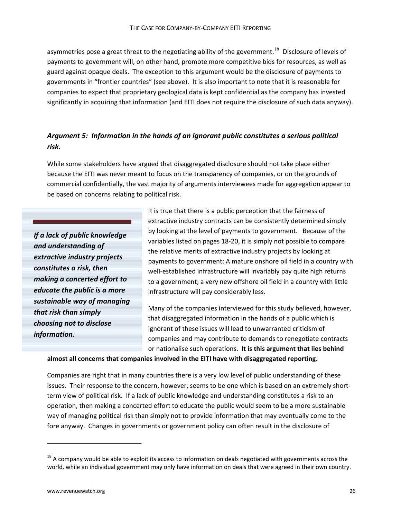asymmetries pose a great threat to the negotiating ability of the government.<sup>[18](#page-26-0)</sup> Disclosure of levels of payments to government will, on other hand, promote more competitive bids for resources, as well as guard against opaque deals. The exception to this argument would be the disclosure of payments to governments in "frontier countries" (see above). It is also important to note that it is reasonable for companies to expect that proprietary geological data is kept confidential as the company has invested significantly in acquiring that information (and EITI does not require the disclosure of such data anyway).

## *Argument 5: Information in the hands of an ignorant public constitutes a serious political risk.*

While some stakeholders have argued that disaggregated disclosure should not take place either because the EITI was never meant to focus on the transparency of companies, or on the grounds of commercial confidentially, the vast majority of arguments interviewees made for aggregation appear to be based on concerns relating to political risk.

*If a lack of public knowledge and understanding of extractive industry projects constitutes a risk, then making a concerted effort to educate the public is a more sustainable way of managing that risk than simply choosing not to disclose information.*

It is true that there is a public perception that the fairness of extractive industry contracts can be consistently determined simply by looking at the level of payments to government. Because of the variables listed on pages 18‐20, it is simply not possible to compare the relative merits of extractive industry projects by looking at payments to government: A mature onshore oil field in a country with well-established infrastructure will invariably pay quite high returns to a government; a very new offshore oil field in a country with little infrastructure will pay considerably less.

Many of the companies interviewed for this study believed, however, that disaggregated information in the hands of a public which is ignorant of these issues will lead to unwarranted criticism of companies and may contribute to demands to renegotiate contracts or nationalise such operations. **It is this argument that lies behind**

**almost all concerns that companies involved in the EITI have with disaggregated reporting.** 

Companies are right that in many countries there is a very low level of public understanding of these issues. Their response to the concern, however, seems to be one which is based on an extremely shortterm view of political risk. If a lack of public knowledge and understanding constitutes a risk to an operation, then making a concerted effort to educate the public would seem to be a more sustainable way of managing political risk than simply not to provide information that may eventually come to the fore anyway. Changes in governments or government policy can often result in the disclosure of

<span id="page-26-0"></span><sup>&</sup>lt;sup>18</sup> A company would be able to exploit its access to information on deals negotiated with governments across the world, while an individual government may only have information on deals that were agreed in their own country.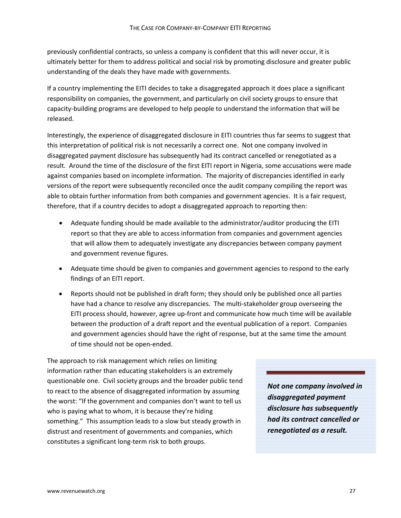previously confidential contracts, so unless a company is confident that this will never occur, it is ultimately better for them to address political and social risk by promoting disclosure and greater public understanding of the deals they have made with governments.

If a country implementing the EITI decides to take a disaggregated approach it does place a significant responsibility on companies, the government, and particularly on civil society groups to ensure that capacity‐building programs are developed to help people to understand the information that will be released.

Interestingly, the experience of disaggregated disclosure in EITI countries thus far seems to suggest that this interpretation of political risk is not necessarily a correct one. Not one company involved in disaggregated payment disclosure has subsequently had its contract cancelled or renegotiated as a result. Around the time of the disclosure of the first EITI report in Nigeria, some accusations were made against companies based on incomplete information. The majority of discrepancies identified in early versions of the report were subsequently reconciled once the audit company compiling the report was able to obtain further information from both companies and government agencies. It is a fair request, therefore, that if a country decides to adopt a disaggregated approach to reporting then:

- Adequate funding should be made available to the administrator/auditor producing the EITI report so that they are able to access information from companies and government agencies that will allow them to adequately investigate any discrepancies between company payment and government revenue figures.
- Adequate time should be given to companies and government agencies to respond to the early findings of an EITI report.
- Reports should not be published in draft form; they should only be published once all parties have had a chance to resolve any discrepancies. The multi-stakeholder group overseeing the EITI process should, however, agree up-front and communicate how much time will be available between the production of a draft report and the eventual publication of a report. Companies and government agencies should have the right of response, but at the same time the amount of time should not be open‐ended.

The approach to risk management which relies on limiting information rather than educating stakeholders is an extremely questionable one. Civil society groups and the broader public tend to react to the absence of disaggregated information by assuming the worst: "If the government and companies don't want to tell us who is paying what to whom, it is because they're hiding something." This assumption leads to a slow but steady growth in distrust and resentment of governments and companies, which constitutes a significant long‐term risk to both groups.

*Not one company involved in disaggregated payment disclosure has subsequently had its contract cancelled or renegotiated as a result.*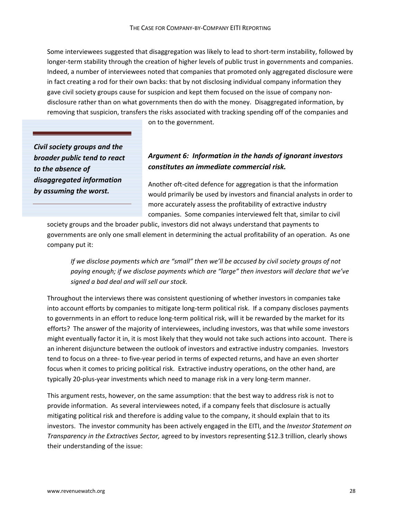Some interviewees suggested that disaggregation was likely to lead to short‐term instability, followed by longer-term stability through the creation of higher levels of public trust in governments and companies. Indeed, a number of interviewees noted that companies that promoted only aggregated disclosure were in fact creating a rod for their own backs: that by not disclosing individual company information they gave civil society groups cause for suspicion and kept them focused on the issue of company nondisclosure rather than on what governments then do with the money. Disaggregated information, by removing that suspicion, transfers the risks associated with tracking spending off of the companies and

*Civil society groups and the broader public tend to react to the absence of disaggregated information by assuming the worst.*

## on to the government.

# *Argument 6: Information in the hands of ignorant investors constitutes an immediate commercial risk.*

Another oft‐cited defence for aggregation is that the information would primarily be used by investors and financial analysts in order to more accurately assess the profitability of extractive industry companies. Some companies interviewed felt that, similar to civil

society groups and the broader public, investors did not always understand that payments to governments are only one small element in determining the actual profitability of an operation. As one company put it:

*If we disclose payments which are "small" then we'll be accused by civil society groups of not paying enough; if we disclose payments which are "large" then investors will declare that we've signed a bad deal and will sell our stock.*

Throughout the interviews there was consistent questioning of whether investors in companies take into account efforts by companies to mitigate long-term political risk. If a company discloses payments to governments in an effort to reduce long-term political risk, will it be rewarded by the market for its efforts? The answer of the majority of interviewees, including investors, was that while some investors might eventually factor it in, it is most likely that they would not take such actions into account. There is an inherent disjuncture between the outlook of investors and extractive industry companies. Investors tend to focus on a three‐ to five‐year period in terms of expected returns, and have an even shorter focus when it comes to pricing political risk. Extractive industry operations, on the other hand, are typically 20‐plus‐year investments which need to manage risk in a very long‐term manner.

This argument rests, however, on the same assumption: that the best way to address risk is not to provide information. As several interviewees noted, if a company feels that disclosure is actually mitigating political risk and therefore is adding value to the company, it should explain that to its investors. The investor community has been actively engaged in the EITI, and the *Investor Statement on Transparency in the Extractives Sector,* agreed to by investors representing \$12.3 trillion, clearly shows their understanding of the issue: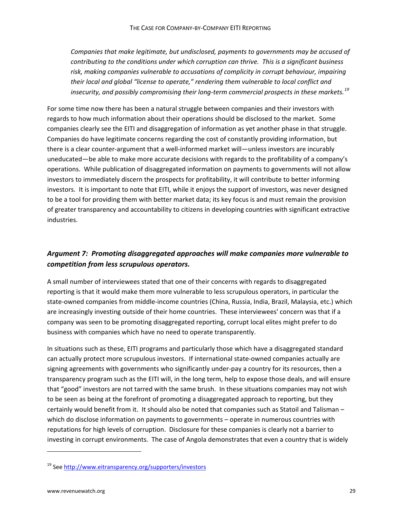*Companies that make legitimate, but undisclosed, payments to governments may be accused of contributing to the conditions under which corruption can thrive. This is a significant business risk, making companies vulnerable to accusations of complicity in corrupt behaviour, impairing their local and global "license to operate," rendering them vulnerable to local conflict and insecurity, and possibly compromising their long‐term commercial prospects in these markets.[19](#page-29-0)*

For some time now there has been a natural struggle between companies and their investors with regards to how much information about their operations should be disclosed to the market. Some companies clearly see the EITI and disaggregation of information as yet another phase in that struggle. Companies do have legitimate concerns regarding the cost of constantly providing information, but there is a clear counter‐argument that a well‐informed market will—unless investors are incurably uneducated—be able to make more accurate decisions with regards to the profitability of a company's operations. While publication of disaggregated information on payments to governments will not allow investors to immediately discern the prospects for profitability, it will contribute to better informing investors. It is important to note that EITI, while it enjoys the support of investors, was never designed to be a tool for providing them with better market data; its key focus is and must remain the provision of greater transparency and accountability to citizens in developing countries with significant extractive industries.

# *Argument 7: Promoting disaggregated approaches will make companies more vulnerable to competition from less scrupulous operators.*

A small number of interviewees stated that one of their concerns with regards to disaggregated reporting is that it would make them more vulnerable to less scrupulous operators, in particular the state-owned companies from middle-income countries (China, Russia, India, Brazil, Malaysia, etc.) which are increasingly investing outside of their home countries. These interviewees' concern was that if a company was seen to be promoting disaggregated reporting, corrupt local elites might prefer to do business with companies which have no need to operate transparently.

In situations such as these, EITI programs and particularly those which have a disaggregated standard can actually protect more scrupulous investors. If international state‐owned companies actually are signing agreements with governments who significantly under-pay a country for its resources, then a transparency program such as the EITI will, in the long term, help to expose those deals, and will ensure that "good" investors are not tarred with the same brush. In these situations companies may not wish to be seen as being at the forefront of promoting a disaggregated approach to reporting, but they certainly would benefit from it. It should also be noted that companies such as Statoil and Talisman – which do disclose information on payments to governments - operate in numerous countries with reputations for high levels of corruption. Disclosure for these companies is clearly not a barrier to investing in corrupt environments. The case of Angola demonstrates that even a country that is widely

<span id="page-29-0"></span><sup>19</sup> See <http://www.eitransparency.org/supporters/investors>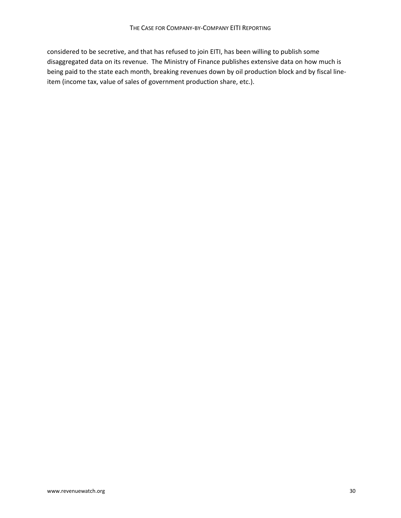considered to be secretive, and that has refused to join EITI, has been willing to publish some disaggregated data on its revenue. The Ministry of Finance publishes extensive data on how much is being paid to the state each month, breaking revenues down by oil production block and by fiscal line‐ item (income tax, value of sales of government production share, etc.).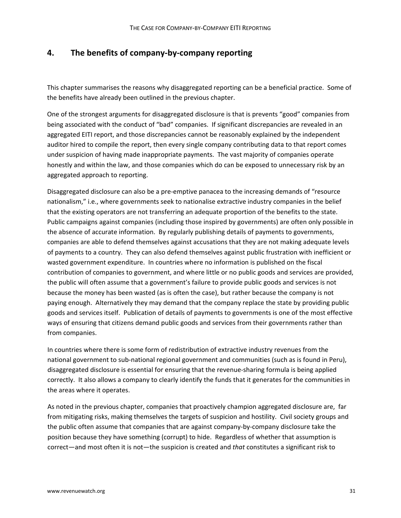# **4. The benefits of company‐by‐company reporting**

This chapter summarises the reasons why disaggregated reporting can be a beneficial practice. Some of the benefits have already been outlined in the previous chapter.

One of the strongest arguments for disaggregated disclosure is that is prevents "good" companies from being associated with the conduct of "bad" companies. If significant discrepancies are revealed in an aggregated EITI report, and those discrepancies cannot be reasonably explained by the independent auditor hired to compile the report, then every single company contributing data to that report comes under suspicion of having made inappropriate payments. The vast majority of companies operate honestly and within the law, and those companies which do can be exposed to unnecessary risk by an aggregated approach to reporting.

Disaggregated disclosure can also be a pre‐emptive panacea to the increasing demands of "resource nationalism," i.e., where governments seek to nationalise extractive industry companies in the belief that the existing operators are not transferring an adequate proportion of the benefits to the state. Public campaigns against companies (including those inspired by governments) are often only possible in the absence of accurate information. By regularly publishing details of payments to governments, companies are able to defend themselves against accusations that they are not making adequate levels of payments to a country. They can also defend themselves against public frustration with inefficient or wasted government expenditure. In countries where no information is published on the fiscal contribution of companies to government, and where little or no public goods and services are provided, the public will often assume that a government's failure to provide public goods and services is not because the money has been wasted (as is often the case), but rather because the company is not paying enough. Alternatively they may demand that the company replace the state by providing public goods and services itself. Publication of details of payments to governments is one of the most effective ways of ensuring that citizens demand public goods and services from their governments rather than from companies.

In countries where there is some form of redistribution of extractive industry revenues from the national government to sub-national regional government and communities (such as is found in Peru), disaggregated disclosure is essential for ensuring that the revenue‐sharing formula is being applied correctly. It also allows a company to clearly identify the funds that it generates for the communities in the areas where it operates.

As noted in the previous chapter, companies that proactively champion aggregated disclosure are, far from mitigating risks, making themselves the targets of suspicion and hostility. Civil society groups and the public often assume that companies that are against company‐by‐company disclosure take the position because they have something (corrupt) to hide. Regardless of whether that assumption is correct—and most often it is not—the suspicion is created and *that* constitutes a significant risk to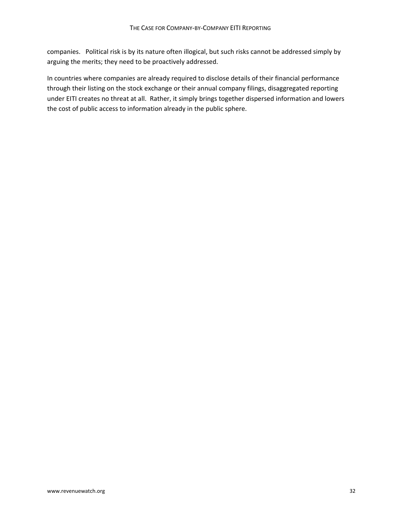companies. Political risk is by its nature often illogical, but such risks cannot be addressed simply by arguing the merits; they need to be proactively addressed.

In countries where companies are already required to disclose details of their financial performance through their listing on the stock exchange or their annual company filings, disaggregated reporting under EITI creates no threat at all. Rather, it simply brings together dispersed information and lowers the cost of public access to information already in the public sphere.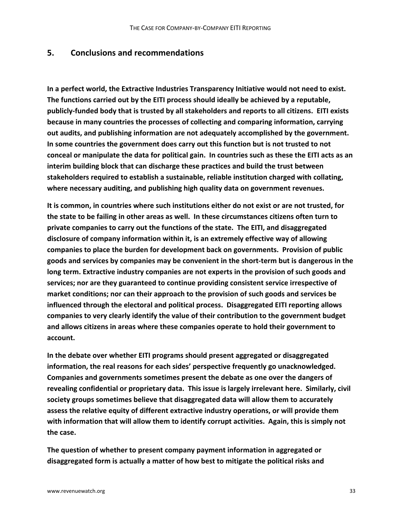## **5. Conclusions and recommendations**

**In a perfect world, the Extractive Industries Transparency Initiative would not need to exist. The functions carried out by the EITI process should ideally be achieved by a reputable, publicly‐funded body that is trusted by all stakeholders and reports to all citizens. EITI exists because in many countries the processes of collecting and comparing information, carrying out audits, and publishing information are not adequately accomplished by the government. In some countries the government does carry out this function but is not trusted to not** conceal or manipulate the data for political gain. In countries such as these the EITI acts as an **interim building block that can discharge these practices and build the trust between stakeholders required to establish a sustainable, reliable institution charged with collating, where necessary auditing, and publishing high quality data on government revenues.**

**It is common, in countries where such institutions either do not exist or are not trusted, for the state to be failing in other areas as well. In these circumstances citizens often turn to private companies to carry out the functions of the state. The EITI, and disaggregated disclosure of company information within it, is an extremely effective way of allowing companies to place the burden for development back on governments. Provision of public goods and services by companies may be convenient in the short‐term but is dangerous in the long term. Extractive industry companies are not experts in the provision of such goods and services; nor are they guaranteed to continue providing consistent service irrespective of market conditions; nor can their approach to the provision of such goods and services be influenced through the electoral and political process. Disaggregated EITI reporting allows companies to very clearly identify the value of their contribution to the government budget and allows citizens in areas where these companies operate to hold their government to account.**

**In the debate over whether EITI programs should present aggregated or disaggregated information, the real reasons for each sides' perspective frequently go unacknowledged. Companies and governments sometimes present the debate as one over the dangers of revealing confidential or proprietary data. This issue is largely irrelevant here. Similarly, civil society groups sometimes believe that disaggregated data will allow them to accurately assess the relative equity of different extractive industry operations, or will provide them with information that will allow them to identify corrupt activities. Again, this is simply not the case.**

**The question of whether to present company payment information in aggregated or disaggregated form is actually a matter of how best to mitigate the political risks and**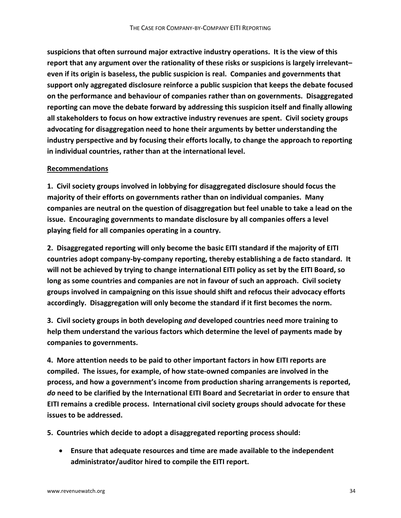**suspicions that often surround major extractive industry operations. It is the view of this report that any argument over the rationality of these risks or suspicions is largely irrelevant– even if its origin is baseless, the public suspicion is real. Companies and governments that support only aggregated disclosure reinforce a public suspicion that keeps the debate focused on the performance and behaviour of companies rather than on governments. Disaggregated reporting can move the debate forward by addressing this suspicion itself and finally allowing all stakeholders to focus on how extractive industry revenues are spent. Civil society groups advocating for disaggregation need to hone their arguments by better understanding the industry perspective and by focusing their efforts locally, to change the approach to reporting in individual countries, rather than at the international level.**

### **Recommendations**

**1. Civil society groups involved in lobbying for disaggregated disclosure should focus the majority of their efforts on governments rather than on individual companies. Many companies are neutral on the question of disaggregation but feel unable to take a lead on the issue. Encouraging governments to mandate disclosure by all companies offers a level playing field for all companies operating in a country.**

**2. Disaggregated reporting will only become the basic EITI standard if the majority of EITI countries adopt company‐by‐company reporting, thereby establishing a de facto standard. It will not be achieved by trying to change international EITI policy as set by the EITI Board, so long as some countries and companies are not in favour of such an approach. Civil society groups involved in campaigning on this issue should shift and refocus their advocacy efforts accordingly. Disaggregation will only become the standard if it first becomes the norm.**

**3. Civil society groups in both developing** *and* **developed countries need more training to help them understand the various factors which determine the level of payments made by companies to governments.**

**4. More attention needs to be paid to other important factors in how EITI reports are compiled. The issues, for example, of how state‐owned companies are involved in the process, and how a government's income from production sharing arrangements is reported,** *do* **need to be clarified by the International EITI Board and Secretariat in order to ensure that EITI remains a credible process. International civil society groups should advocate for these issues to be addressed.**

**5. Countries which decide to adopt a disaggregated reporting process should:**

• **Ensure that adequate resources and time are made available to the independent administrator/auditor hired to compile the EITI report.**